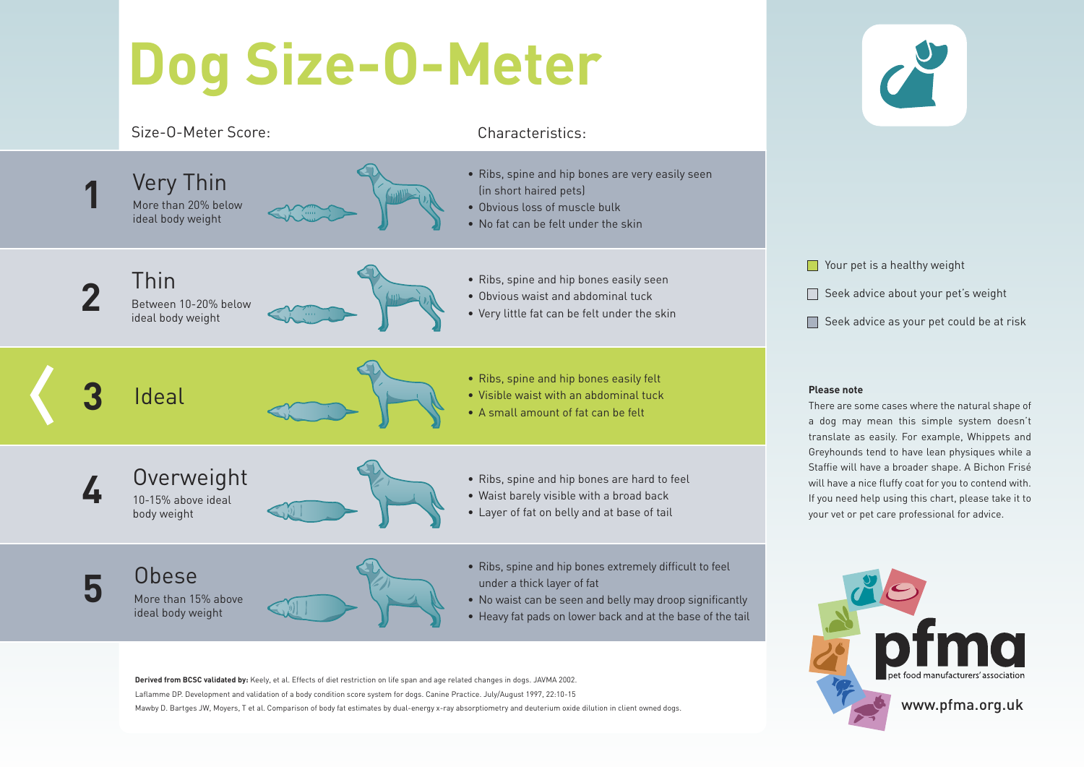## **Dog Size-O-Meter**

### Size-O-Meter Score: Characteristics:



**Derived from BCSC validated by:** Keely, et al. Effects of diet restriction on life span and age related changes in dogs. JAVMA 2002. Laflamme DP. Development and validation of a body condition score system for dogs. Canine Practice. July/August 1997, 22:10-15 Mawby D. Bartges JW, Moyers, T et al. Comparison of body fat estimates by dual-energy x-ray absorptiometry and deuterium oxide dilution in client owned dogs.

**Nour pet is a healthy weight**  $\Box$  Seek advice about your pet's weight  $\Box$  Seek advice as your pet could be at risk

There are some cases where the natural shape of a dog may mean this simple system doesn't translate as easily. For example, Whippets and Greyhounds tend to have lean physiques while a Staffie will have a broader shape. A Bichon Frisé will have a nice fluffy coat for you to contend with. If you need help using this chart, please take it to your vet or pet care professional for advice.